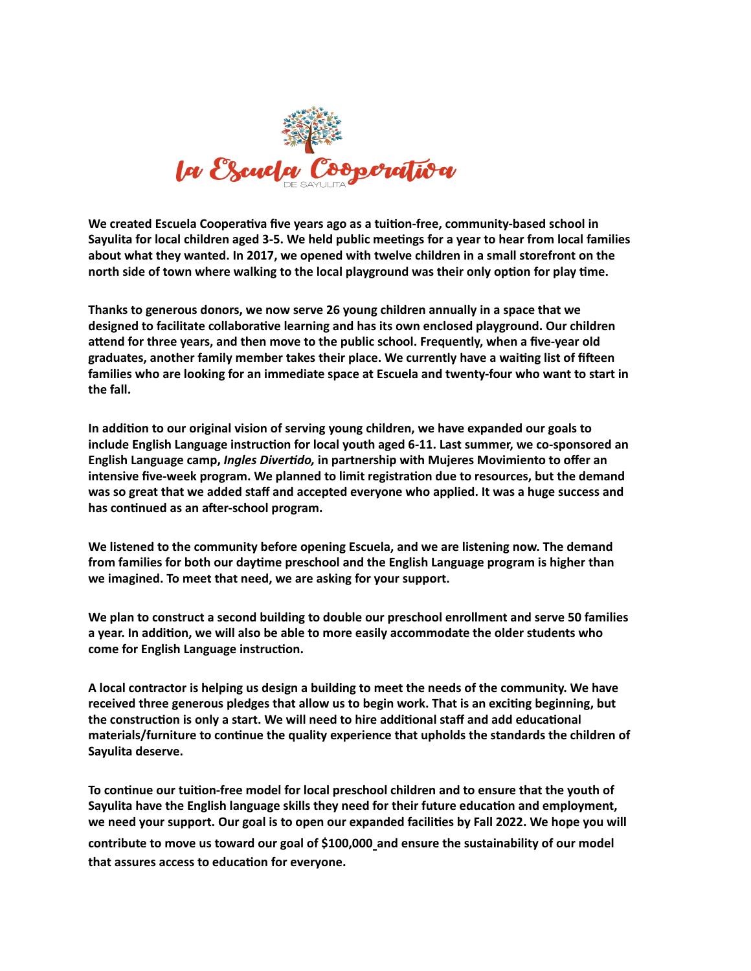

**We created Escuela Cooperativa five years ago as a tuition-free, community-based school in Sayulita for local children aged 3-5. We held public meetings for a year to hear from local families about what they wanted. In 2017, we opened with twelve children in a small storefront on the north side of town where walking to the local playground was their only option for play time.** 

**Thanks to generous donors, we now serve 26 young children annually in a space that we designed to facilitate collaborative learning and has its own enclosed playground. Our children attend for three years, and then move to the public school. Frequently, when a five-year old graduates, another family member takes their place. We currently have a waiting list of fifteen families who are looking for an immediate space at Escuela and twenty-four who want to start in the fall.**

**In addition to our original vision of serving young children, we have expanded our goals to include English Language instruction for local youth aged 6-11. Last summer, we co-sponsored an English Language camp,** *Ingles Divertido,* **in partnership with Mujeres Movimiento to offer an intensive five-week program. We planned to limit registration due to resources, but the demand was so great that we added staff and accepted everyone who applied. It was a huge success and has continued as an after-school program.**

**We listened to the community before opening Escuela, and we are listening now. The demand from families for both our daytime preschool and the English Language program is higher than we imagined. To meet that need, we are asking for your support.** 

**We plan to construct a second building to double our preschool enrollment and serve 50 families a year. In addition, we will also be able to more easily accommodate the older students who come for English Language instruction.**

**A local contractor is helping us design a building to meet the needs of the community. We have received three generous pledges that allow us to begin work. That is an exciting beginning, but the construction is only a start. We will need to hire additional staff and add educational materials/furniture to continue the quality experience that upholds the standards the children of Sayulita deserve.** 

**To continue our tuition-free model for local preschool children and to ensure that the youth of Sayulita have the English language skills they need for their future education and employment, we need your support. Our goal is to open our expanded facilities by Fall 2022. We hope you will contribute to move us toward our goal of \$100,000 and ensure the sustainability of our model that assures access to education for everyone.**